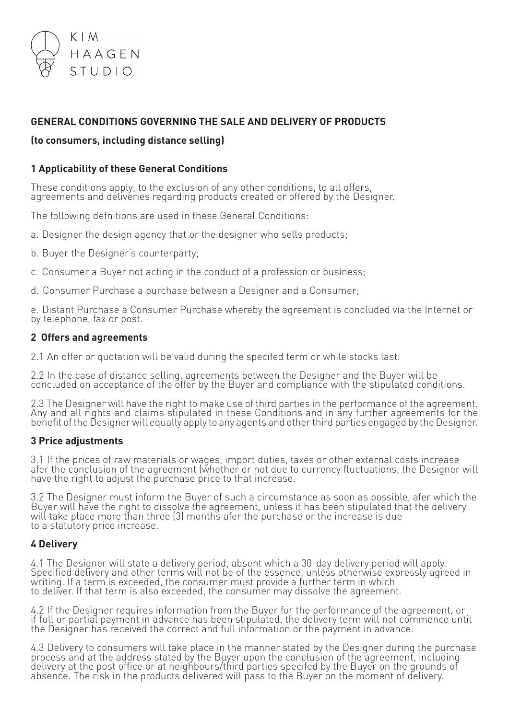

# **GENERAL CONDITIONS GOVERNING THE SALE AND DELIVERY OF PRODUCTS**

## **(to consumers, including distance selling)**

## **1 Applicability of these General Conditions**

These conditions apply, to the exclusion of any other conditions, to all offers, agreements and deliveries regarding products created or offered by the Designer.

The following defnitions are used in these General Conditions:

- a. Designer the design agency that or the designer who sells products;
- b. Buyer the Designer's counterparty;
- c. Consumer a Buyer not acting in the conduct of a profession or business;
- d. Consumer Purchase a purchase between a Designer and a Consumer;

e. Distant Purchase a Consumer Purchase whereby the agreement is concluded via the Internet or by telephone, fax or post.

### **2 Offers and agreements**

2.1 An offer or quotation will be valid during the specifed term or while stocks last.

2.2 In the case of distance selling, agreements between the Designer and the Buyer will be concluded on acceptance of the offer by the Buyer and compliance with the stipulated conditions.

2.3 The Designer will have the right to make use of third parties in the performance of the agreement. Any and all rights and claims stipulated in these Conditions and in any further agreements for the benefit of the Designer will equally apply to any agents and other third parties engaged by the Designer.

### **3 Price adjustments**

3.1 If the prices of raw materials or wages, import duties, taxes or other external costs increase afer the conclusion of the agreement (whether or not due to currency fluctuations, the Designer will have the right to adjust the purchase price to that increase.

3.2 The Designer must inform the Buyer of such a circumstance as soon as possible, afer which the Buyer will have the right to dissolve the agreement, unless it has been stipulated that the delivery will take place more than three (3) months afer the purchase or the increase is due to a statutory price increase.

## **4 Delivery**

4.1 The Designer will state a delivery period, absent which a 30-day delivery period will apply. Specified delivery and other terms will not be of the essence, unless otherwise expressly agreed in writing. If a term is exceeded, the consumer must provide a further term in which to deliver. If that term is also exceeded, the consumer may dissolve the agreement.

4.2 If the Designer requires information from the Buyer for the performance of the agreement, or<br>if full or partial payment in advance has been stipulated, the delivery term will not commence until the Designer has received the correct and full information or the payment in advance.

4.3 Delivery to consumers will take place in the manner stated by the Designer during the purchase<br>process and at the address stated by the Buyer upon the conclusion of the agreement, including delivery at the post office or at neighbours/third parties specifed by the Buyer on the grounds of<br>absence. The risk in the products delivered will pass to the Buyer on the moment of delivery.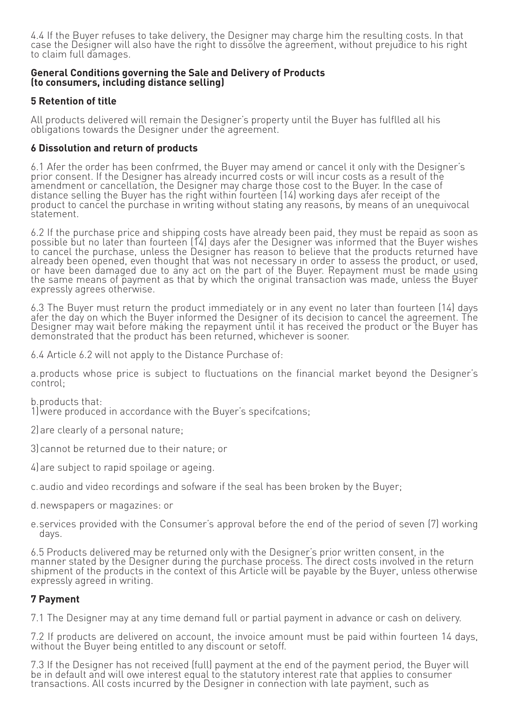4.4 If the Buyer refuses to take delivery, the Designer may charge him the resulting costs. In that case the Designer will also have the right to dissolve the agreement, without prejudice to his right to claim full damages.

#### **General Conditions governing the Sale and Delivery of Products (to consumers, including distance selling)**

## **5 Retention of title**

All products delivered will remain the Designer's property until the Buyer has fulflled all his obligations towards the Designer under the agreement.

### **6 Dissolution and return of products**

6.1 Afer the order has been confrmed, the Buyer may amend or cancel it only with the Designer's prior consent. If the Designer has already incurred costs or will incur costs as a result of the amendment or cancellation, the Designer may charge those cost to the Buyer. In the case of distance selling the Buyer has the right within fourteen (14) working days afer receipt of the product to cancel the purchase in writing without stating any reasons, by means of an unequivocal statement.

6.2 If the purchase price and shipping costs have already been paid, they must be repaid as soon as<br>possible but no later than fourteen (14) days afer the Designer was informed that the Buyer wishes to cancel the purchase, unless the Designer has reason to believe that the products returned have already been opened, even thought that was not necessary in order to assess the product, or used, or have been damaged due to any act on the part of the Buyer. Repayment must be made using the same means of payment as that by which the original transaction was made, unless the Buyer expressly agrees otherwise.

6.3 The Buyer must return the product immediately or in any event no later than fourteen (14) days afer the day on which the Buyer informed the Designer of its decision to cancel the agreement. The Designer may wait before making the repayment until it has received the product or the Buyer has demonstrated that the product has been returned, whichever is sooner.

6.4 Article 6.2 will not apply to the Distance Purchase of:

a.products whose price is subject to fluctuations on the financial market beyond the Designer's control;

b.products that:

1)were produced in accordance with the Buyer's specifcations;

2)are clearly of a personal nature;

3)cannot be returned due to their nature; or

- 4)are subject to rapid spoilage or ageing.
- c.audio and video recordings and sofware if the seal has been broken by the Buyer;
- d.newspapers or magazines: or
- e.services provided with the Consumer's approval before the end of the period of seven (7) working days.

6.5 Products delivered may be returned only with the Designer's prior written consent, in the manner stated by the Designer during the purchase process. The direct costs involved in the return shipment of the products in the context of this Article will be payable by the Buyer, unless otherwise expressly agreed in writing.

### **7 Payment**

7.1 The Designer may at any time demand full or partial payment in advance or cash on delivery.

7.2 If products are delivered on account, the invoice amount must be paid within fourteen 14 days, without the Buyer being entitled to any discount or setoff.

7.3 If the Designer has not received (full) payment at the end of the payment period, the Buyer will be in default and will owe interest equal to the statutory interest rate that applies to consumer transactions. All costs incurred by the Designer in connection with late payment, such as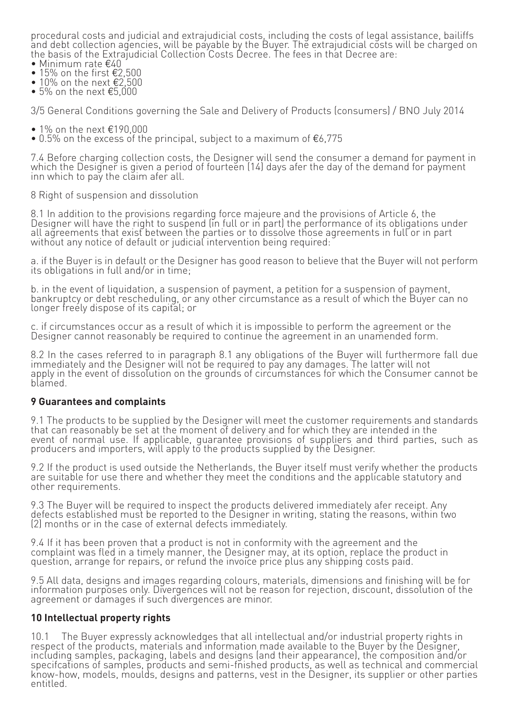procedural costs and judicial and extrajudicial costs, including the costs of legal assistance, bailiffs and debt collection agencies, will be payable by the Buyer. The extrajudicial costs will be charged on the basis of the Extrajudicial Collection Costs Decree. The fees in that Decree are:

- Minimum rate €40
- 15% on the first  $€2,500$
- 10% on the next €2,500
- 5% on the next  $€5,000$

3/5 General Conditions governing the Sale and Delivery of Products (consumers) / BNO July 2014

- 1% on the next €190,000
- 0.5% on the excess of the principal, subject to a maximum of  $E$ 6.775

7.4 Before charging collection costs, the Designer will send the consumer a demand for payment in which the Designer is given a period of fourteen (14) days afer the day of the demand for payment inn which to pay the claim afer all.

8 Right of suspension and dissolution

8.1 In addition to the provisions regarding force majeure and the provisions of Article 6, the<br>Designer will have the right to suspend (in full or in part) the performance of its obligations under all agreements that exist between the parties or to dissolve those agreements in full or in part without any notice of default or judicial intervention being required:

a. if the Buyer is in default or the Designer has good reason to believe that the Buyer will not perform its obligations in full and/or in time;

b. in the event of liquidation, a suspension of payment, a petition for a suspension of payment, bankruptcy or debt rescheduling, or any other circumstance as a result of which the Buyer can no longer freely dispose of its capital; or

c. if circumstances occur as a result of which it is impossible to perform the agreement or the Designer cannot reasonably be required to continue the agreement in an unamended form.

8.2 In the cases referred to in paragraph 8.1 any obligations of the Buyer will furthermore fall due immediately and the Designer will not be required to pay any damages. The latter will not apply in the event of dissolution on the grounds of circumstances for which the Consumer cannot be blamed.

### **9 Guarantees and complaints**

9.1 The products to be supplied by the Designer will meet the customer requirements and standards that can reasonably be set at the moment of delivery and for which they are intended in the event of normal use. If applicable, quarantee provisions of suppliers and third parties, such as producers and importers, will apply to the products supplied by the Designer.

9.2 If the product is used outside the Netherlands, the Buyer itself must verify whether the products are suitable for use there and whether they meet the conditions and the applicable statutory and other requirements.

9.3 The Buyer will be required to inspect the products delivered immediately afer receipt. Any defects established must be reported to the Designer in writing, stating the reasons, within two (2) months or in the case of external defects immediately.

9.4 If it has been proven that a product is not in conformity with the agreement and the complaint was fled in a timely manner, the Designer may, at its option, replace the product in question, arrange for repairs, or refund the invoice price plus any shipping costs paid.

9.5 All data, designs and images regarding colours, materials, dimensions and finishing will be for information purposes only. Divergences will not be reason for rejection, discount, dissolution of the agreement or damages if such divergences are minor.

### **10 Intellectual property rights**

10.1 The Buyer expressly acknowledges that all intellectual and/or industrial property rights in<br>respect of the products, materials and information made available to the Buyer by the Designer, including samples, packaging, labels and designs (and their appearance), the composition and/or specifcations of samples, products and semi-fnished products, as well as technical and commercial know-how, models, moulds, designs and patterns, vest in the Designer, its supplier or other parties entitled.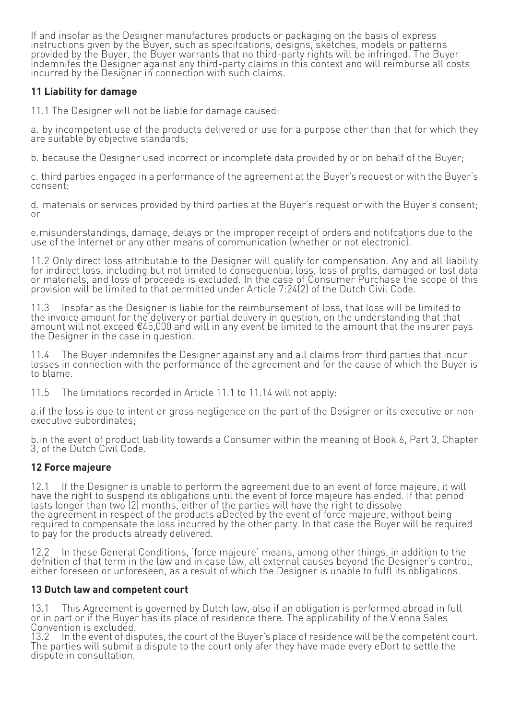If and insofar as the Designer manufactures products or packaging on the basis of express instructions given by the Buyer, such as specifcations, designs, sketches, models or patterns provided by the Buyer, the Buyer warrants that no third-party rights will be infringed. The Buyer indemnifes the Designer against any third-party claims in this context and will reimburse all costs incurred by the Designer in connection with such claims.

# **11 Liability for damage**

11.1 The Designer will not be liable for damage caused:

a. by incompetent use of the products delivered or use for a purpose other than that for which they are suitable by objective standards;

b. because the Designer used incorrect or incomplete data provided by or on behalf of the Buyer;

c. third parties engaged in a performance of the agreement at the Buyer's request or with the Buyer's consent;

d. materials or services provided by third parties at the Buyer's request or with the Buyer's consent; or

e.misunderstandings, damage, delays or the improper receipt of orders and notifcations due to the use of the Internet or any other means of communication (whether or not electronic).

11.2 Only direct loss attributable to the Designer will qualify for compensation. Any and all liability for indiréct loss, including but not limited to consequential loss, loss of profts, damaged or lost data or materials, and loss of proceeds is excluded. In the case of Consumer Purchase the scope of this provision will be limited to that permitted under Article 7:24(2) of the Dutch Civil Code.

11.3 Insofar as the Designer is liable for the reimbursement of loss, that loss will be limited to the invoice amount for the delivery or partial delivery in question, on the understanding that that amount will not exceed €45,000 and will in any event be limited to the amount that the insurer pays the Designer in the case in question.

11.4 The Buyer indemnifes the Designer against any and all claims from third parties that incur<br>losses in connection with the performance of the agreement and for the cause of which the Buyer is to blame.

11.5 The limitations recorded in Article 11.1 to 11.14 will not apply:

a.if the loss is due to intent or gross negligence on the part of the Designer or its executive or nonexecutive subordinates;

b.in the event of product liability towards a Consumer within the meaning of Book 6, Part 3, Chapter 3, of the Dutch Civil Code.

# **12 Force majeure**

12.1 If the Designer is unable to perform the agreement due to an event of force majeure, it will have the right to suspend its obligations until the event of force majeure has ended. If that period lasts longer than two (2) months, either of the parties will have the right to dissolve the agreement in respect of the products aÐected by the event of force majeure, without being<br>required to compensate the loss incurred by the other party. In that case the Buyer will be required required to compensate the loss incurred by the other party. In that case the Buyer will be required<br>to pay for the products already delivered.

12.2 In these General Conditions, 'force majeure' means, among other things, in addition to the defnition of that term in the law and in case law, all external causes beyond the Designer's control, either foreseen or unforeseen, as a result of which the Designer is unable to fulfl its obligations.

# **13 Dutch law and competent court**

13.1 This Agreement is governed by Dutch law, also if an obligation is performed abroad in full or in part or if the Buyer has its place of residence there. The applicability of the Vienna Sales Convention is excluded.<br>13.2 Th the event of disputes, the court of the Buyer's place of residence will be the competent court.

13.2 In the event of disputes, the court of the Buyer's place of residence will be the competent c<br>The parties will submit a dispute to the court only afer they have made every eĐort to settle the dispute in consultation.